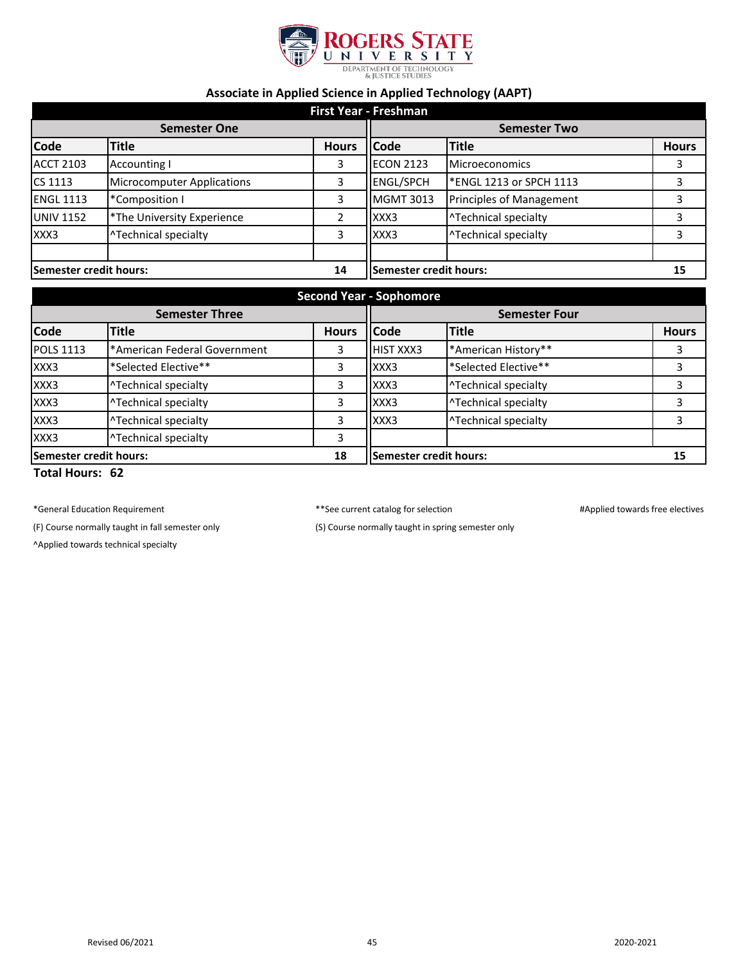

## **Associate in Applied Science in Applied Technology (AAPT)**

| <b>First Year - Freshman</b> |                                   |              |                        |                                 |              |  |  |
|------------------------------|-----------------------------------|--------------|------------------------|---------------------------------|--------------|--|--|
| <b>Semester One</b>          |                                   |              | <b>Semester Two</b>    |                                 |              |  |  |
| <b>Code</b>                  | <b>Title</b>                      | <b>Hours</b> | <b>Code</b>            | <b>Title</b>                    | <b>Hours</b> |  |  |
| <b>ACCT 2103</b>             | <b>Accounting I</b>               | 3            | <b>ECON 2123</b>       | <b>Microeconomics</b>           | 3            |  |  |
| <b>CS 1113</b>               | <b>Microcomputer Applications</b> | 3            | <b>ENGL/SPCH</b>       | *ENGL 1213 or SPCH 1113         | 3            |  |  |
| <b>ENGL 1113</b>             | *Composition I                    | 3            | <b>MGMT 3013</b>       | <b>Principles of Management</b> | 3            |  |  |
| <b>UNIV 1152</b>             | *The University Experience        | 2            | XXX3                   | <b>^Technical specialty</b>     | 3            |  |  |
| XXX3                         | ^Technical specialty              | 3            | XXX3                   | ^Technical specialty            | 3            |  |  |
| Semester credit hours:       |                                   | 14           | Semester credit hours: |                                 | 15           |  |  |

| <b>Second Year - Sophomore</b> |                              |              |                        |                      |              |  |  |
|--------------------------------|------------------------------|--------------|------------------------|----------------------|--------------|--|--|
| <b>Semester Three</b>          |                              |              | <b>Semester Four</b>   |                      |              |  |  |
| Code                           | <b>Title</b>                 | <b>Hours</b> | <b>Code</b>            | <b>Title</b>         | <b>Hours</b> |  |  |
| <b>POLS 1113</b>               | *American Federal Government | 3            | HIST XXX3              | *American History**  |              |  |  |
| XXX3                           | *Selected Elective**         | 3            | XXX3                   | *Selected Elective** |              |  |  |
| XXX3                           | ^Technical specialty         | 3            | XXX3                   | ^Technical specialty |              |  |  |
| XXX3                           | ^Technical specialty         | 3            | XXX3                   | ^Technical specialty |              |  |  |
| XXX3                           | ^Technical specialty         | 3            | XXX3                   | ^Technical specialty |              |  |  |
| XXX3                           | <b>^Technical specialty</b>  | 3            |                        |                      |              |  |  |
| Semester credit hours:         |                              | 18           | Semester credit hours: |                      | 15           |  |  |
| ________                       |                              |              |                        |                      |              |  |  |

**Total Hours: 62**

\*General Education Requirement \*\*See current catalog for selection #Applied towards free electives

(F) Course normally taught in fall semester only (S) Course normally taught in spring semester only

^Applied towards technical specialty